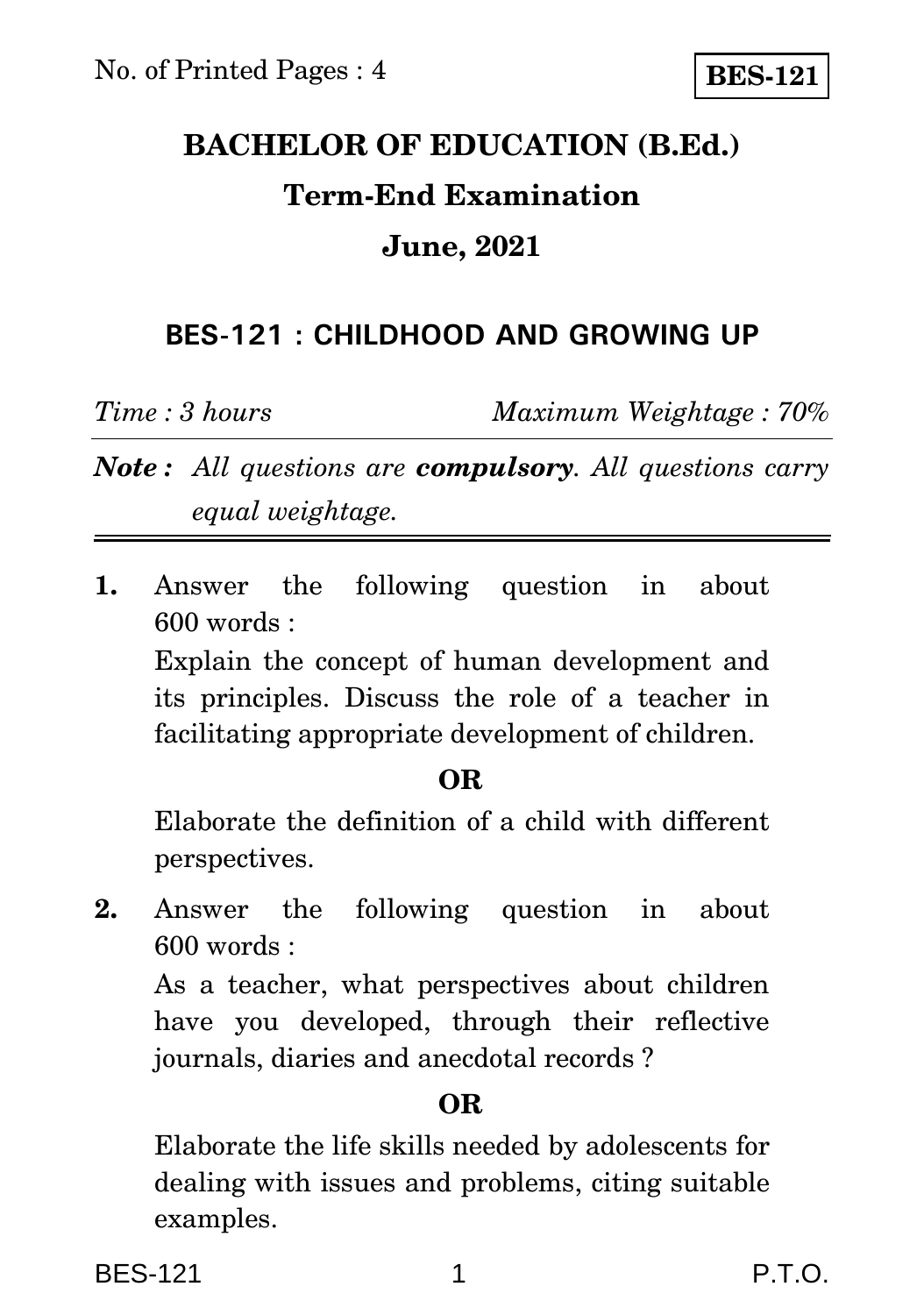# **BACHELOR OF EDUCATION (B.Ed.) Term-End Examination June, 2021**

# **BES-121 : CHILDHOOD AND GROWING UP**

*Time : 3 hours Maximum Weightage : 70%*

*Note : All questions are compulsory. All questions carry equal weightage.*

**1.** Answer the following question in about 600 words : Explain the concept of human development and its principles. Discuss the role of a teacher in facilitating appropriate development of children.

## **OR**

Elaborate the definition of a child with different perspectives.

**2.** Answer the following question in about 600 words :

As a teacher, what perspectives about children have you developed, through their reflective journals, diaries and anecdotal records ?

# **OR**

Elaborate the life skills needed by adolescents for dealing with issues and problems, citing suitable examples.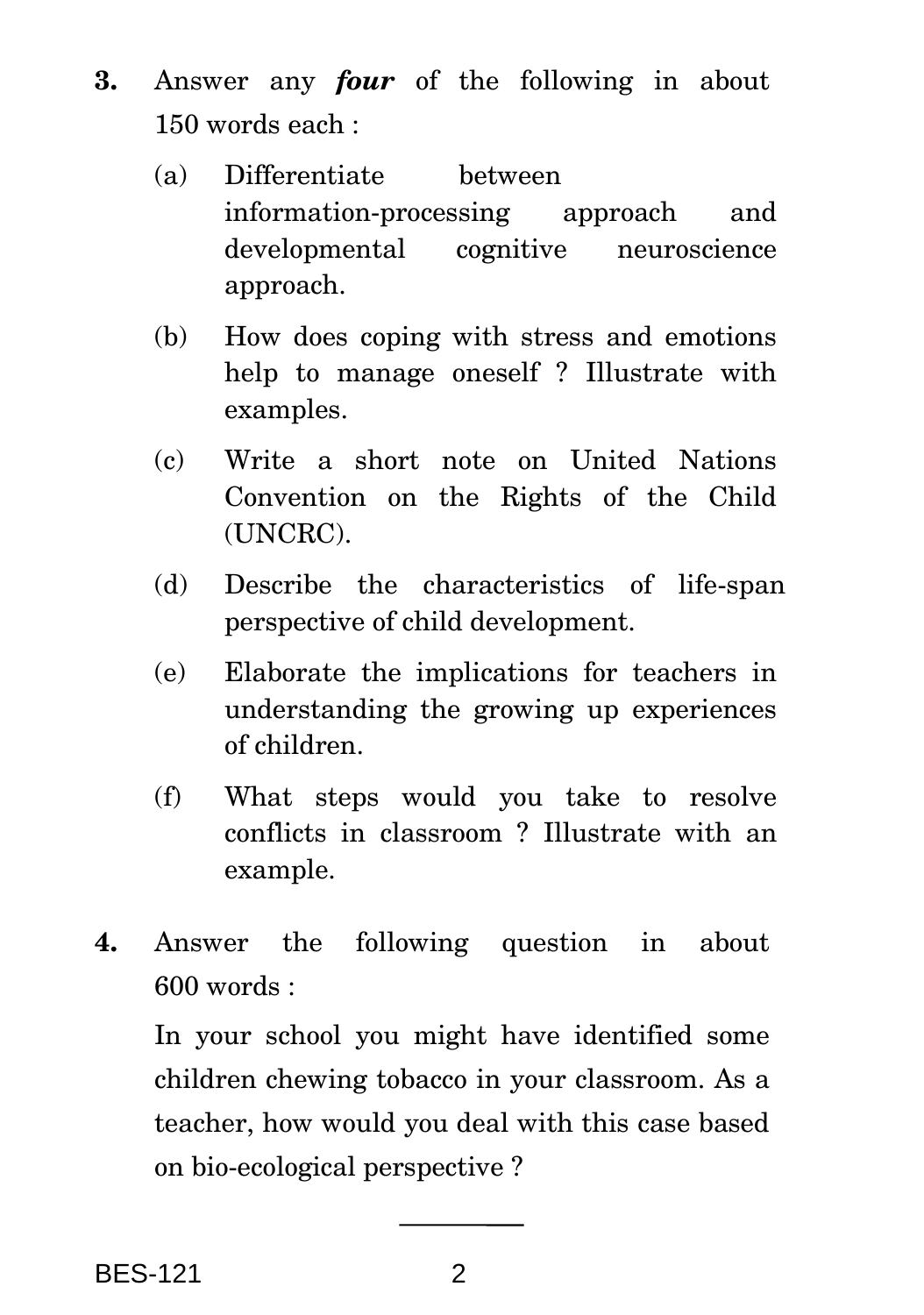- **3.** Answer any *four* of the following in about 150 words each :
	- (a) Differentiate between information-processing approach and developmental cognitive neuroscience approach.
	- (b) How does coping with stress and emotions help to manage oneself ? Illustrate with examples.
	- (c) Write a short note on United Nations Convention on the Rights of the Child (UNCRC).
	- (d) Describe the characteristics of life-span perspective of child development.
	- (e) Elaborate the implications for teachers in understanding the growing up experiences of children.
	- (f) What steps would you take to resolve conflicts in classroom ? Illustrate with an example.
- **4.** Answer the following question in about 600 words :

In your school you might have identified some children chewing tobacco in your classroom. As a teacher, how would you deal with this case based on bio-ecological perspective ?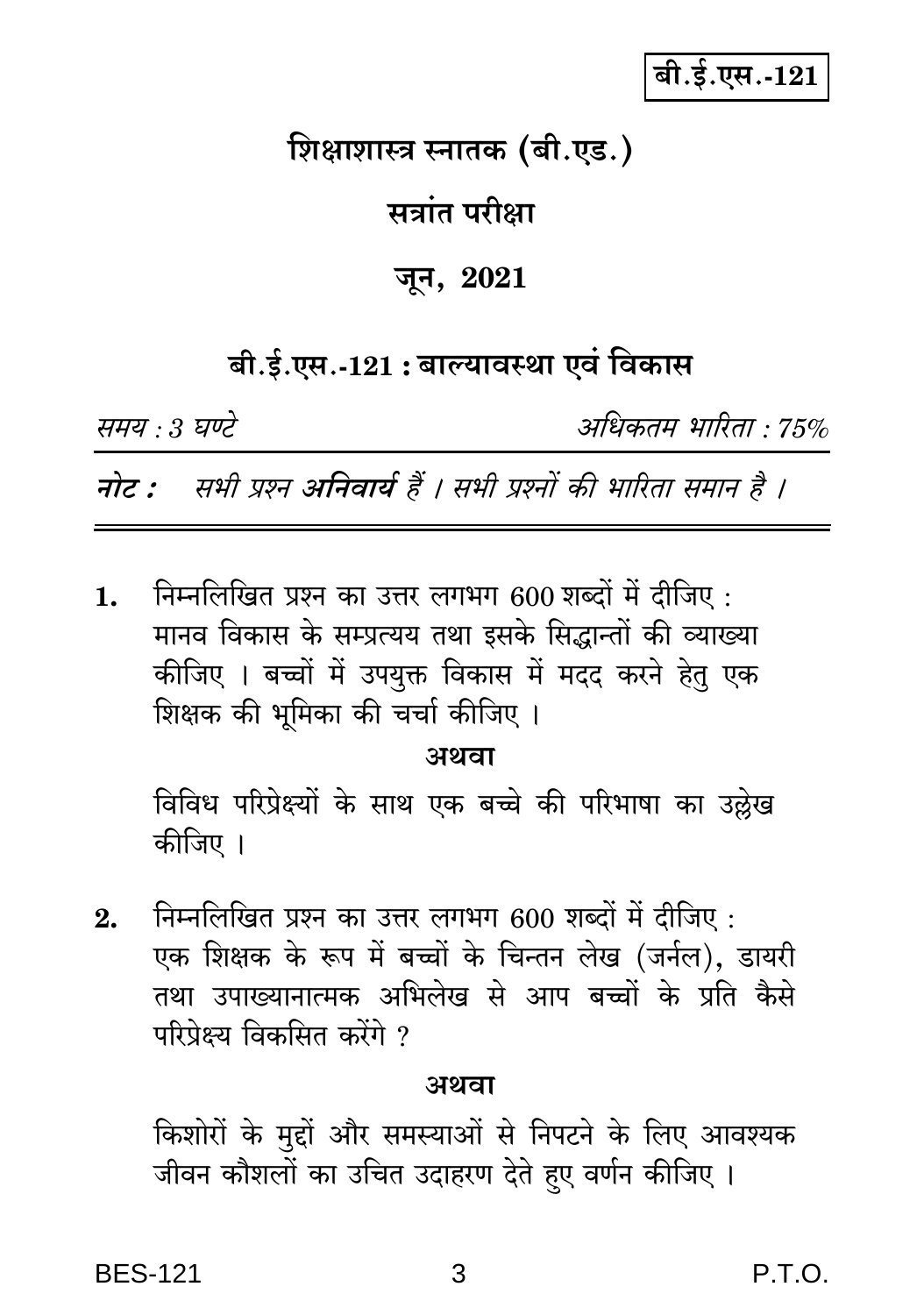बी.ई.एस.-121

# शिक्षाशास्त्र स्नातक (बी.एड.)

# सत्रांत परीक्षा

### जून, 2021

# बी.ई.एस.-121 : बाल्यावस्था एवं विकास

समय : 3 घण्टे

अधिकतम भारिता : 75%

नोट : सभी प्रश्न अनिवार्य हैं । सभी प्रश्नों की भारिता समान है ।

निम्नलिखित प्रश्न का उत्तर लगभग 600 शब्दों में दीजिए : 1. मानव विकास के सम्प्रत्यय तथा इसके सिद्धान्तों की व्याख्या कीजिए । बच्चों में उपयुक्त विकास में मदद करने हेतु एक शिक्षक की भूमिका की चर्चा कीजिए ।

अथवा

विविध परिप्रेक्ष्यों के साथ एक बच्चे की परिभाषा का उल्लेख कीजिए ।

निम्नलिखित प्रश्न का उत्तर लगभग 600 शब्दों में दीजिए :  $2.$ एक शिक्षक के रूप में बच्चों के चिन्तन लेख (जर्नल), डायरी तथा उपाख्यानात्मक अभिलेख से आप बच्चों के प्रति कैसे परिपेक्ष्य विकसित करेंगे ?

#### अथवा

किशोरों के मुद्दों और समस्याओं से निपटने के लिए आवश्यक जीवन कौशलों का उचित उदाहरण देते हुए वर्णन कीजिए ।